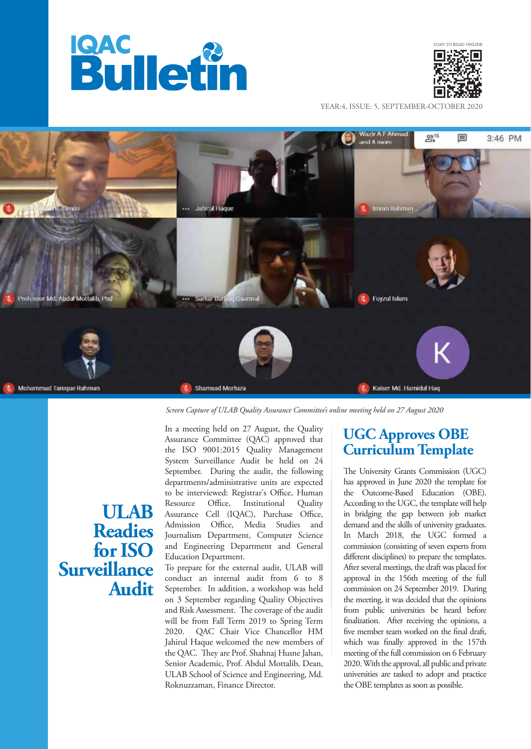



YEAR:4, ISSUE: 5, SEPTEMBER-OCTOBER 2020



*Screen Capture of ULAB Quality Assurance Committee's online meeting held on 27 August 2020*

Assurance Committee (QAC) approved that the ISO 9001:2015 Quality Management System Surveillance Audit be held on 24 September. During the audit, the following departments/administrative units are expected to be interviewed: Registrar's Office, Human Resource Office, Institutional Quality Assurance Cell (IQAC), Purchase Office, Admission Office, Media Studies and Journalism Department, Computer Science and Engineering Department and General Education Department.

In a meeting held on 27 August, the Quality

To prepare for the external audit, ULAB will conduct an internal audit from 6 to 8 September. In addition, a workshop was held on 3 September regarding Quality Objectives and Risk Assessment. The coverage of the audit will be from Fall Term 2019 to Spring Term 2020. QAC Chair Vice Chancellor HM Jahirul Haque welcomed the new members of the QAC. They are Prof. Shahnaj Husne Jahan, Senior Academic, Prof. Abdul Mottalib, Dean, ULAB School of Science and Engineering, Md. Roknuzzaman, Finance Director.

## **UGC Approves OBE Curriculum Template**

The University Grants Commission (UGC) has approved in June 2020 the template for the Outcome-Based Education (OBE). According to the UGC, the template will help in bridging the gap between job market demand and the skills of university graduates. In March 2018, the UGC formed a commission (consisting of seven experts from different disciplines) to prepare the templates. After several meetings, the draft was placed for approval in the 156th meeting of the full commission on 24 September 2019. During the meeting, it was decided that the opinions from public universities be heard before finalization. After receiving the opinions, a five member team worked on the final draft, which was finally approved in the 157th meeting of the full commission on 6 February 2020. With the approval, all public and private universities are tasked to adopt and practice the OBE templates as soon as possible.

## **ULAB Readies for ISO Surveillance Audit**